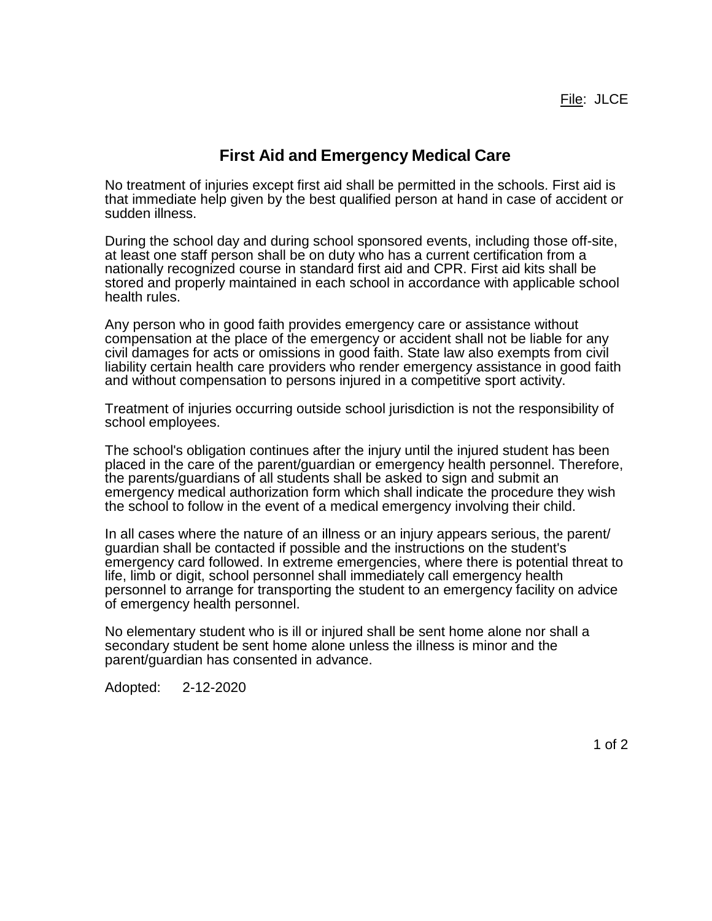## **First Aid and Emergency Medical Care**

No treatment of injuries except first aid shall be permitted in the schools. First aid is that immediate help given by the best qualified person at hand in case of accident or sudden illness.

During the school day and during school sponsored events, including those off-site, at least one staff person shall be on duty who has a current certification from a nationally recognized course in standard first aid and CPR. First aid kits shall be stored and properly maintained in each school in accordance with applicable school health rules.

Any person who in good faith provides emergency care or assistance without compensation at the place of the emergency or accident shall not be liable for any civil damages for acts or omissions in good faith. State law also exempts from civil liability certain health care providers who render emergency assistance in good faith and without compensation to persons injured in a competitive sport activity.

Treatment of injuries occurring outside school jurisdiction is not the responsibility of school employees.

The school's obligation continues after the injury until the injured student has been placed in the care of the parent/guardian or emergency health personnel. Therefore, the parents/guardians of all students shall be asked to sign and submit an emergency medical authorization form which shall indicate the procedure they wish the school to follow in the event of a medical emergency involving their child.

In all cases where the nature of an illness or an injury appears serious, the parent/ guardian shall be contacted if possible and the instructions on the student's emergency card followed. In extreme emergencies, where there is potential threat to life, limb or digit, school personnel shall immediately call emergency health personnel to arrange for transporting the student to an emergency facility on advice of emergency health personnel.

No elementary student who is ill or injured shall be sent home alone nor shall a secondary student be sent home alone unless the illness is minor and the parent/guardian has consented in advance.

Adopted: 2-12-2020